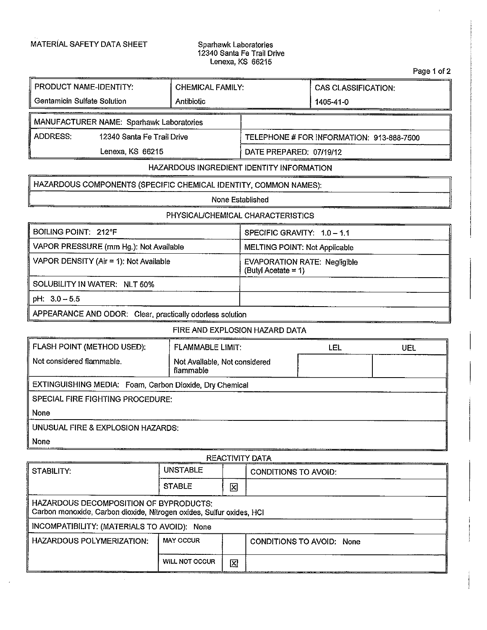$\ddot{\phantom{0}}$ 

## 12340 Santa Fe Trail Drive Lenexa, KS 66215

| <b>PRODUCT NAME-IDENTITY:</b>                                    | <b>CHEMICAL FAMILY:</b> |                                                            | <b>CAS CLASSIFICATION:</b> |     |
|------------------------------------------------------------------|-------------------------|------------------------------------------------------------|----------------------------|-----|
| Gentamicin Sulfate Solution                                      | Antibiotic              |                                                            | 1405-41-0                  |     |
|                                                                  |                         |                                                            |                            |     |
| MANUFACTURER NAME: Sparhawk Laboratories                         |                         |                                                            |                            |     |
| ADDRESS:<br>12340 Santa Fe Trail Drive                           |                         | TELEPHONE # FOR INFORMATION: 913-888-7500                  |                            |     |
| Lenexa, KS 66215                                                 |                         | DATE PREPARED. 07/19/12                                    |                            |     |
| HAZARDOUS INGREDIENT IDENTITY INFORMATION                        |                         |                                                            |                            |     |
| HAZARDOUS COMPONENTS (SPECIFIC CHEMICAL IDENTITY, COMMON NAMES): |                         |                                                            |                            |     |
| None Established                                                 |                         |                                                            |                            |     |
| PHYSICAL/CHEMICAL CHARACTERISTICS                                |                         |                                                            |                            |     |
| <b>BOILING POINT: 212°F</b>                                      |                         | SPECIFIC GRAVITY: 1.0 - 1.1                                |                            |     |
| VAPOR PRESSURE (mm Hg.): Not Available                           |                         | MELTING POINT: Not Applicable                              |                            |     |
| VAPOR DENSITY (Air = 1): Not Available                           |                         | <b>EVAPORATION RATE: Negligible</b><br>(Butyl Acetate = 1) |                            |     |
| SOLUBILITY IN WATER: NLT 50%                                     |                         |                                                            |                            |     |
| pH: $3.0 - 5.5$                                                  |                         |                                                            |                            |     |
| APPEARANCE AND ODOR: Clear, practically odorless solution        |                         |                                                            |                            |     |
| FIRE AND EXPLOSION HAZARD DATA                                   |                         |                                                            |                            |     |
| FLASH POINT (METHOD USED):                                       | <b>FLAMMABLE LIMIT:</b> |                                                            | LEL                        | UEL |

| <b>FLASH POINT (METHOD USED):</b>                       | <b>FLAMMABLE LIMIT:</b>                    | .EL | UEL |  |  |
|---------------------------------------------------------|--------------------------------------------|-----|-----|--|--|
| Not considered flammable.                               | Not Available, Not considered<br>flammable |     |     |  |  |
| EXTINGUISHING MEDIA: Foam, Carbon Dioxide, Dry Chemical |                                            |     |     |  |  |
| SPECIAL FIRE FIGHTING PROCEDURE:                        |                                            |     |     |  |  |
| None                                                    |                                            |     |     |  |  |
| UNUSUAL FIRE & EXPLOSION HAZARDS:                       |                                            |     |     |  |  |
| None                                                    |                                            |     |     |  |  |

| <b>REACTIVITY DATA</b>                                                                                         |                       |   |                             |  |
|----------------------------------------------------------------------------------------------------------------|-----------------------|---|-----------------------------|--|
| STABILITY:                                                                                                     | <b>UNSTABLE</b>       |   | <b>CONDITIONS TO AVOID:</b> |  |
|                                                                                                                | <b>STABLE</b>         | 区 |                             |  |
| HAZARDOUS DECOMPOSITION OF BYPRODUCTS:<br>Carbon monoxide, Carbon dioxide, Nitrogen oxides, Sulfur oxides, HCI |                       |   |                             |  |
| INCOMPATIBILITY: (MATERIALS TO AVOID): None                                                                    |                       |   |                             |  |
| <b>HAZARDOUS POLYMERIZATION:</b>                                                                               | <b>MAY OCCUR</b>      |   | CONDITIONS TO AVOID: None   |  |
|                                                                                                                | <b>WILL NOT OCCUR</b> | 区 |                             |  |

Page <sup>1</sup> of 2

 $\bar{\rm I}$